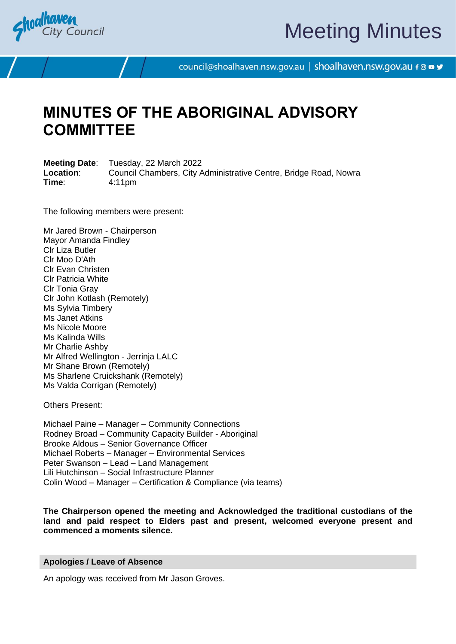

# Meeting Minutes

council@shoalhaven.nsw.gov.au | shoalhaven.nsw.gov.au f @ ■ y

## **MINUTES OF THE ABORIGINAL ADVISORY COMMITTEE**

**Meeting Date**: Tuesday, 22 March 2022 **Location:** Council Chambers, City Administrative Centre, Bridge Road, Nowra **Time**: 4:11pm

The following members were present:

Mr Jared Brown - Chairperson Mayor Amanda Findley Clr Liza Butler Clr Moo D'Ath Clr Evan Christen Clr Patricia White Clr Tonia Gray Clr John Kotlash (Remotely) Ms Sylvia Timbery Ms Janet Atkins Ms Nicole Moore Ms Kalinda Wills Mr Charlie Ashby Mr Alfred Wellington - Jerrinja LALC Mr Shane Brown (Remotely) Ms Sharlene Cruickshank (Remotely) Ms Valda Corrigan (Remotely)

Others Present:

Michael Paine – Manager – Community Connections Rodney Broad – Community Capacity Builder - Aboriginal Brooke Aldous – Senior Governance Officer Michael Roberts – Manager – Environmental Services Peter Swanson – Lead – Land Management Lili Hutchinson – Social Infrastructure Planner Colin Wood – Manager – Certification & Compliance (via teams)

**The Chairperson opened the meeting and Acknowledged the traditional custodians of the land and paid respect to Elders past and present, welcomed everyone present and commenced a moments silence.**

#### **Apologies / Leave of Absence**

An apology was received from Mr Jason Groves.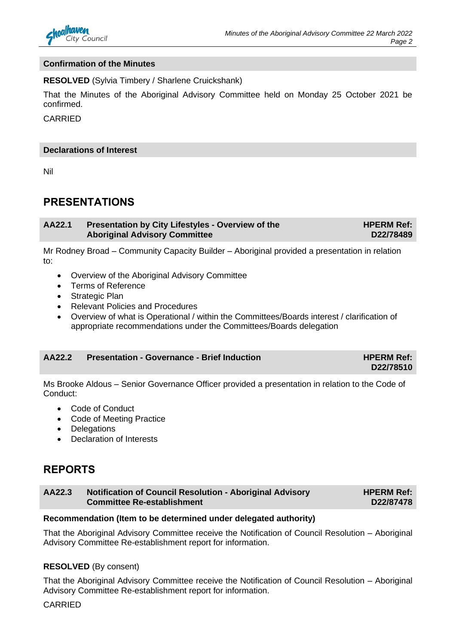

#### **Confirmation of the Minutes**

**RESOLVED** (Sylvia Timbery / Sharlene Cruickshank)

That the Minutes of the Aboriginal Advisory Committee held on Monday 25 October 2021 be confirmed.

CARRIED

#### **Declarations of Interest**

Nil

#### **PRESENTATIONS**

**AA22.1 Presentation by City Lifestyles - Overview of the Aboriginal Advisory Committee HPERM Ref:** 

Mr Rodney Broad – Community Capacity Builder – Aboriginal provided a presentation in relation to:

- Overview of the Aboriginal Advisory Committee
- Terms of Reference
- Strategic Plan
- Relevant Policies and Procedures
- Overview of what is Operational / within the Committees/Boards interest / clarification of appropriate recommendations under the Committees/Boards delegation

#### **AA22.2 Presentation - Governance - Brief Induction HPERM Ref:**

**D22/78510**

**D22/78489**

Ms Brooke Aldous – Senior Governance Officer provided a presentation in relation to the Code of Conduct:

- Code of Conduct
- Code of Meeting Practice
- Delegations
- Declaration of Interests

#### **REPORTS**

| AA22.3 | Notification of Council Resolution - Aboriginal Advisory | <b>HPERM Ref:</b> |
|--------|----------------------------------------------------------|-------------------|
|        | <b>Committee Re-establishment</b>                        | D22/87478         |

#### **Recommendation (Item to be determined under delegated authority)**

That the Aboriginal Advisory Committee receive the Notification of Council Resolution – Aboriginal Advisory Committee Re-establishment report for information.

#### **RESOLVED** (By consent)

That the Aboriginal Advisory Committee receive the Notification of Council Resolution – Aboriginal Advisory Committee Re-establishment report for information.

CARRIED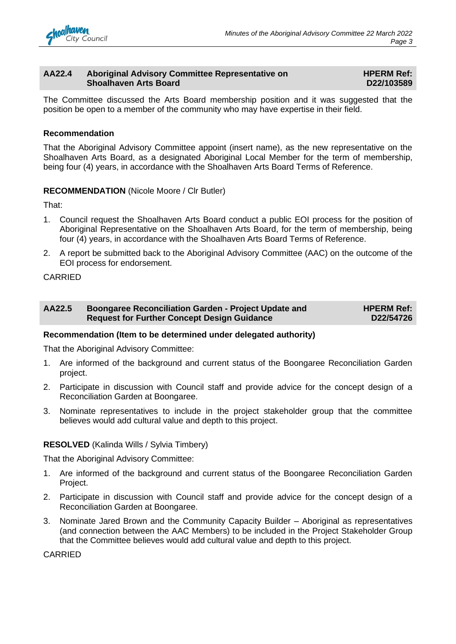

#### **AA22.4 Aboriginal Advisory Committee Representative on Shoalhaven Arts Board**

**HPERM Ref: D22/103589**

The Committee discussed the Arts Board membership position and it was suggested that the position be open to a member of the community who may have expertise in their field.

#### **Recommendation**

That the Aboriginal Advisory Committee appoint (insert name), as the new representative on the Shoalhaven Arts Board, as a designated Aboriginal Local Member for the term of membership, being four (4) years, in accordance with the Shoalhaven Arts Board Terms of Reference.

#### **RECOMMENDATION** (Nicole Moore / Clr Butler)

That:

- 1. Council request the Shoalhaven Arts Board conduct a public EOI process for the position of Aboriginal Representative on the Shoalhaven Arts Board, for the term of membership, being four (4) years, in accordance with the Shoalhaven Arts Board Terms of Reference.
- 2. A report be submitted back to the Aboriginal Advisory Committee (AAC) on the outcome of the EOI process for endorsement.

#### CARRIED

| AA22.5 | <b>Boongaree Reconciliation Garden - Project Update and</b> | <b>HPERM Ref:</b> |
|--------|-------------------------------------------------------------|-------------------|
|        | <b>Request for Further Concept Design Guidance</b>          | D22/54726         |

#### **Recommendation (Item to be determined under delegated authority)**

That the Aboriginal Advisory Committee:

- 1. Are informed of the background and current status of the Boongaree Reconciliation Garden project.
- 2. Participate in discussion with Council staff and provide advice for the concept design of a Reconciliation Garden at Boongaree.
- 3. Nominate representatives to include in the project stakeholder group that the committee believes would add cultural value and depth to this project.

#### **RESOLVED** (Kalinda Wills / Sylvia Timbery)

That the Aboriginal Advisory Committee:

- 1. Are informed of the background and current status of the Boongaree Reconciliation Garden Project.
- 2. Participate in discussion with Council staff and provide advice for the concept design of a Reconciliation Garden at Boongaree.
- 3. Nominate Jared Brown and the Community Capacity Builder Aboriginal as representatives (and connection between the AAC Members) to be included in the Project Stakeholder Group that the Committee believes would add cultural value and depth to this project.

CARRIED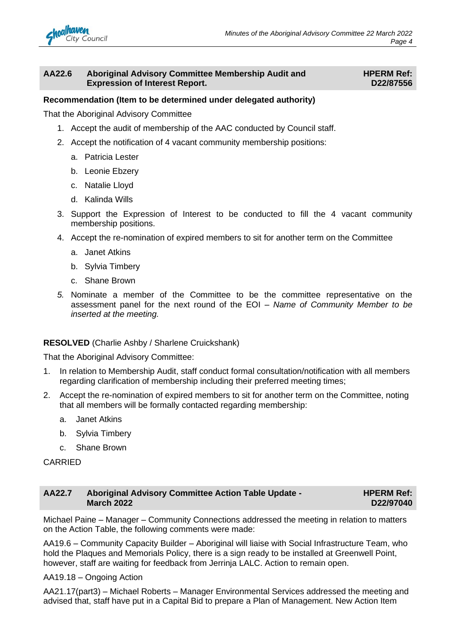#### **AA22.6 Aboriginal Advisory Committee Membership Audit and Expression of Interest Report.**

#### **HPERM Ref: D22/87556**

#### **Recommendation (Item to be determined under delegated authority)**

That the Aboriginal Advisory Committee

- 1. Accept the audit of membership of the AAC conducted by Council staff.
- 2. Accept the notification of 4 vacant community membership positions:
	- a. Patricia Lester
	- b. Leonie Ebzery
	- c. Natalie Lloyd
	- d. Kalinda Wills
- 3. Support the Expression of Interest to be conducted to fill the 4 vacant community membership positions.
- 4. Accept the re-nomination of expired members to sit for another term on the Committee
	- a. Janet Atkins
	- b. Sylvia Timbery
	- c. Shane Brown
- *5.* Nominate a member of the Committee to be the committee representative on the assessment panel for the next round of the EOI – *Name of Community Member to be inserted at the meeting.*

#### **RESOLVED** (Charlie Ashby / Sharlene Cruickshank)

That the Aboriginal Advisory Committee:

- 1. In relation to Membership Audit, staff conduct formal consultation/notification with all members regarding clarification of membership including their preferred meeting times;
- 2. Accept the re-nomination of expired members to sit for another term on the Committee, noting that all members will be formally contacted regarding membership:
	- a. Janet Atkins
	- b. Sylvia Timbery
	- c. Shane Brown

CARRIED

#### **AA22.7 Aboriginal Advisory Committee Action Table Update - March 2022 HPERM Ref: D22/97040**

Michael Paine – Manager – Community Connections addressed the meeting in relation to matters on the Action Table, the following comments were made:

AA19.6 – Community Capacity Builder – Aboriginal will liaise with Social Infrastructure Team, who hold the Plaques and Memorials Policy, there is a sign ready to be installed at Greenwell Point, however, staff are waiting for feedback from Jerrinja LALC. Action to remain open.

AA19.18 – Ongoing Action

AA21.17(part3) – Michael Roberts – Manager Environmental Services addressed the meeting and advised that, staff have put in a Capital Bid to prepare a Plan of Management. New Action Item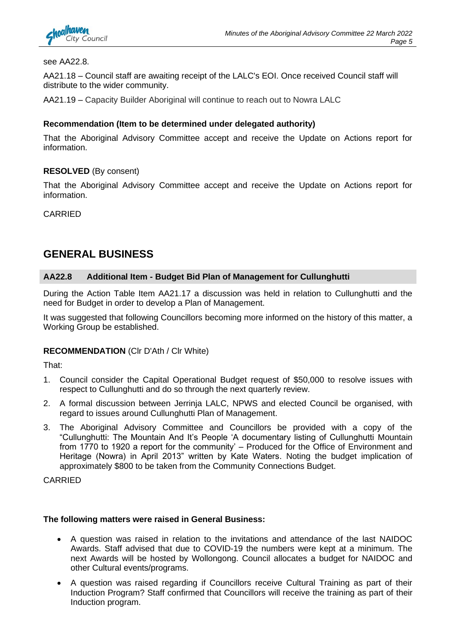

#### see AA22.8.

AA21.18 – Council staff are awaiting receipt of the LALC's EOI. Once received Council staff will distribute to the wider community.

AA21.19 – Capacity Builder Aboriginal will continue to reach out to Nowra LALC

#### **Recommendation (Item to be determined under delegated authority)**

That the Aboriginal Advisory Committee accept and receive the Update on Actions report for information.

#### **RESOLVED** (By consent)

That the Aboriginal Advisory Committee accept and receive the Update on Actions report for information.

CARRIED

### **GENERAL BUSINESS**

#### **AA22.8 Additional Item - Budget Bid Plan of Management for Cullunghutti**

During the Action Table Item AA21.17 a discussion was held in relation to Cullunghutti and the need for Budget in order to develop a Plan of Management.

It was suggested that following Councillors becoming more informed on the history of this matter, a Working Group be established.

#### **RECOMMENDATION** (Clr D'Ath / Clr White)

That:

- 1. Council consider the Capital Operational Budget request of \$50,000 to resolve issues with respect to Cullunghutti and do so through the next quarterly review.
- 2. A formal discussion between Jerrinja LALC, NPWS and elected Council be organised, with regard to issues around Cullunghutti Plan of Management.
- 3. The Aboriginal Advisory Committee and Councillors be provided with a copy of the "Cullunghutti: The Mountain And It's People 'A documentary listing of Cullunghutti Mountain from 1770 to 1920 a report for the community' – Produced for the Office of Environment and Heritage (Nowra) in April 2013" written by Kate Waters. Noting the budget implication of approximately \$800 to be taken from the Community Connections Budget.

CARRIED

#### **The following matters were raised in General Business:**

- A question was raised in relation to the invitations and attendance of the last NAIDOC Awards. Staff advised that due to COVID-19 the numbers were kept at a minimum. The next Awards will be hosted by Wollongong. Council allocates a budget for NAIDOC and other Cultural events/programs.
- A question was raised regarding if Councillors receive Cultural Training as part of their Induction Program? Staff confirmed that Councillors will receive the training as part of their Induction program.